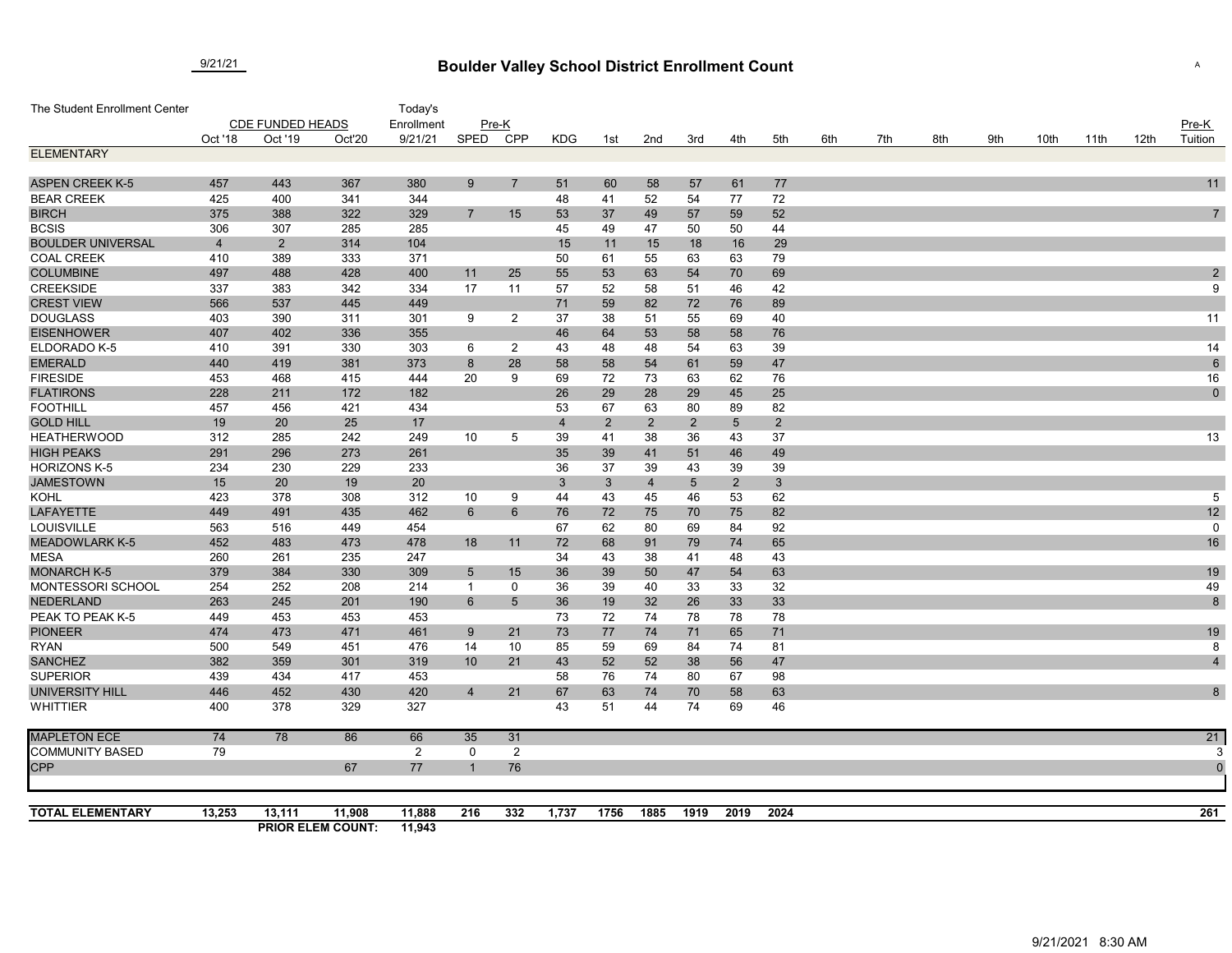## **Boulder Valley School District Enrollment Count** 9/21/21 <sup>A</sup>

| The Student Enrollment Center           |                         |                |                                    | Today's          |                  |                 |                |                |                |                 |                 |                |     |     |     |     |      |      |      |                |
|-----------------------------------------|-------------------------|----------------|------------------------------------|------------------|------------------|-----------------|----------------|----------------|----------------|-----------------|-----------------|----------------|-----|-----|-----|-----|------|------|------|----------------|
|                                         | <b>CDE FUNDED HEADS</b> |                |                                    | Enrollment       | $Pre-K$          |                 |                |                |                |                 |                 |                |     |     |     |     |      |      |      | $Pre-K$        |
|                                         | Oct '18                 | Oct '19        | Oct'20                             | 9/21/21          | SPED             | <b>CPP</b>      | <b>KDG</b>     | 1st            | 2nd            | 3rd             | 4th             | 5th            | 6th | 7th | 8th | 9th | 10th | 11th | 12th | Tuition        |
| <b>ELEMENTARY</b>                       |                         |                |                                    |                  |                  |                 |                |                |                |                 |                 |                |     |     |     |     |      |      |      |                |
|                                         |                         |                |                                    |                  |                  |                 |                |                |                |                 |                 |                |     |     |     |     |      |      |      |                |
| <b>ASPEN CREEK K-5</b>                  | 457                     | 443            | 367                                | 380              | 9                | $\overline{7}$  | 51             | 60             | 58             | 57              | 61              | 77             |     |     |     |     |      |      |      | 11             |
| <b>BEAR CREEK</b>                       | 425                     | 400            | 341                                | 344              |                  |                 | 48             | 41             | 52             | 54              | 77              | 72             |     |     |     |     |      |      |      |                |
| <b>BIRCH</b>                            | 375                     | 388            | 322                                | 329              | 7                | 15              | 53             | 37             | 49             | 57              | 59              | 52             |     |     |     |     |      |      |      | $\overline{7}$ |
| <b>BCSIS</b>                            | 306                     | 307            | 285                                | 285              |                  |                 | 45             | 49             | 47             | 50              | 50              | 44             |     |     |     |     |      |      |      |                |
| <b>BOULDER UNIVERSAL</b>                | $\overline{4}$          | $\overline{2}$ | 314                                | 104              |                  |                 | 15             | 11             | 15             | 18              | 16              | 29             |     |     |     |     |      |      |      |                |
| <b>COAL CREEK</b>                       | 410                     | 389            | 333                                | 371              |                  |                 | 50             | 61             | 55             | 63              | 63              | 79             |     |     |     |     |      |      |      |                |
| <b>COLUMBINE</b>                        | 497                     | 488            | 428                                | 400              | 11               | 25              | 55             | 53             | 63             | 54              | 70              | 69             |     |     |     |     |      |      |      | $\overline{c}$ |
| <b>CREEKSIDE</b>                        | 337                     | 383            | 342                                | 334              | 17               | 11              | 57             | 52             | 58             | 51              | 46              | 42             |     |     |     |     |      |      |      | 9              |
| <b>CREST VIEW</b>                       | 566                     | 537            | 445                                | 449              |                  |                 | 71             | 59             | 82             | 72              | 76              | 89             |     |     |     |     |      |      |      |                |
| <b>DOUGLASS</b>                         | 403                     | 390            | 311                                | 301              | 9                | $\overline{2}$  | 37             | 38             | 51             | 55              | 69              | 40             |     |     |     |     |      |      |      | 11             |
| <b>EISENHOWER</b>                       | 407                     | 402            | 336                                | 355              |                  |                 | 46             | 64             | 53             | 58              | 58              | 76             |     |     |     |     |      |      |      |                |
| ELDORADO K-5                            | 410                     | 391            | 330                                | 303              | 6                | $\overline{2}$  | 43             | 48             | 48             | 54              | 63              | 39             |     |     |     |     |      |      |      | 14             |
| <b>EMERALD</b>                          | 440                     | 419            | 381                                | 373              | 8                | 28              | 58             | 58             | 54             | 61              | 59              | 47             |     |     |     |     |      |      |      | $\,6\,$        |
| <b>FIRESIDE</b>                         | 453                     | 468            | 415                                | 444              | 20               | 9               | 69             | 72             | 73             | 63              | 62              | 76             |     |     |     |     |      |      |      | 16             |
| <b>FLATIRONS</b>                        | 228                     | 211            | 172                                | 182              |                  |                 | 26             | 29             | 28             | 29              | 45              | 25             |     |     |     |     |      |      |      | $\mathbf 0$    |
| <b>FOOTHILL</b>                         | 457                     | 456            | 421                                | 434              |                  |                 | 53             | 67             | 63             | 80              | 89              | 82             |     |     |     |     |      |      |      |                |
| <b>GOLD HILL</b>                        | 19                      | 20             | 25                                 | 17               |                  |                 | $\overline{4}$ | $\overline{2}$ | $\overline{2}$ | $\overline{2}$  | $5\phantom{.0}$ | $\overline{2}$ |     |     |     |     |      |      |      |                |
| <b>HEATHERWOOD</b>                      | 312                     | 285            | 242                                | 249              | 10               | 5               | 39             | 41             | 38             | 36              | 43              | 37             |     |     |     |     |      |      |      | 13             |
| <b>HIGH PEAKS</b>                       | 291                     | 296            | 273                                | 261              |                  |                 | 35             | 39             | 41             | 51              | 46              | 49             |     |     |     |     |      |      |      |                |
| <b>HORIZONS K-5</b>                     | 234                     | 230            | 229                                | 233              |                  |                 | 36             | 37             | 39             | 43              | 39              | 39             |     |     |     |     |      |      |      |                |
| <b>JAMESTOWN</b>                        | 15                      | 20             | 19                                 | 20               |                  |                 | $\mathbf{3}$   | $\mathbf{3}$   | $\overline{4}$ | $5\phantom{.0}$ | $\overline{2}$  | 3 <sup>5</sup> |     |     |     |     |      |      |      |                |
| KOHL                                    | 423                     | 378            | 308                                | 312              | 10               | 9               | 44             | 43             | 45             | 46              | 53              | 62             |     |     |     |     |      |      |      | $\overline{5}$ |
| <b>LAFAYETTE</b>                        | 449                     | 491            | 435                                | 462              | 6                | 6               | 76             | 72             | 75             | 70              | 75              | 82             |     |     |     |     |      |      |      | 12             |
| LOUISVILLE                              | 563                     | 516            | 449                                | 454              |                  |                 | 67             | 62             | 80             | 69              | 84              | 92             |     |     |     |     |      |      |      | $\mathbf 0$    |
| <b>MEADOWLARK K-5</b>                   | 452                     | 483            | 473                                | 478              | 18               | 11              | 72             | 68             | 91             | 79              | 74              | 65             |     |     |     |     |      |      |      | 16             |
| <b>MESA</b>                             | 260                     | 261            | 235                                | 247              |                  |                 | 34             | 43             | 38             | 41              | 48              | 43             |     |     |     |     |      |      |      |                |
| <b>MONARCH K-5</b><br>MONTESSORI SCHOOL | 379<br>254              | 384<br>252     | 330<br>208                         | 309<br>214       | $\sqrt{5}$<br>-1 | 15              | 36             | 39<br>39       | 50<br>40       | 47<br>33        | 54<br>33        | 63<br>32       |     |     |     |     |      |      |      | 19<br>49       |
| <b>NEDERLAND</b>                        | 263                     | 245            | 201                                | 190              |                  | 0               | 36             |                |                |                 |                 |                |     |     |     |     |      |      |      |                |
| PEAK TO PEAK K-5                        | 449                     | 453            | 453                                | 453              | $6\phantom{1}6$  | $5\overline{)}$ | 36<br>73       | 19<br>72       | 32<br>74       | 26<br>78        | 33<br>78        | 33<br>78       |     |     |     |     |      |      |      | $\bf 8$        |
| <b>PIONEER</b>                          | 474                     | 473            | 471                                | 461              |                  | 21              | 73             | 77             | 74             |                 | 65              | 71             |     |     |     |     |      |      |      | 19             |
| <b>RYAN</b>                             | 500                     | 549            | 451                                | 476              | 9<br>14          | 10              | 85             | 59             | 69             | 71<br>84        | 74              | 81             |     |     |     |     |      |      |      | 8              |
| <b>SANCHEZ</b>                          | 382                     | 359            | 301                                | 319              | 10               | 21              | 43             | 52             | 52             | 38              | 56              | 47             |     |     |     |     |      |      |      | $\overline{4}$ |
| <b>SUPERIOR</b>                         | 439                     | 434            | 417                                | 453              |                  |                 | 58             | 76             | 74             | 80              | 67              | 98             |     |     |     |     |      |      |      |                |
| <b>UNIVERSITY HILL</b>                  | 446                     | 452            | 430                                | 420              | $\overline{4}$   | 21              | 67             | 63             | 74             | 70              | 58              | 63             |     |     |     |     |      |      |      | 8              |
| <b>WHITTIER</b>                         | 400                     | 378            | 329                                | 327              |                  |                 | 43             | 51             | 44             | 74              | 69              | 46             |     |     |     |     |      |      |      |                |
| <b>MAPLETON ECE</b>                     | 74                      | 78             | 86                                 | 66               | 35               | 31              |                |                |                |                 |                 |                |     |     |     |     |      |      |      | 21             |
| <b>COMMUNITY BASED</b>                  | 79                      |                |                                    | $\overline{2}$   | 0                | $\overline{2}$  |                |                |                |                 |                 |                |     |     |     |     |      |      |      |                |
| <b>CPP</b>                              |                         |                | 67                                 | 77               | -1               | 76              |                |                |                |                 |                 |                |     |     |     |     |      |      |      | $\mathfrak{c}$ |
|                                         |                         |                |                                    |                  |                  |                 |                |                |                |                 |                 |                |     |     |     |     |      |      |      |                |
| <b>TOTAL ELEMENTARY</b>                 | 13,253                  | 13,111         | 11,908<br><b>PRIOR ELEM COUNT:</b> | 11,888<br>11,943 | 216              | 332             | 1,737          | 1756           | 1885           | 1919            | 2019            | 2024           |     |     |     |     |      |      |      | 261            |